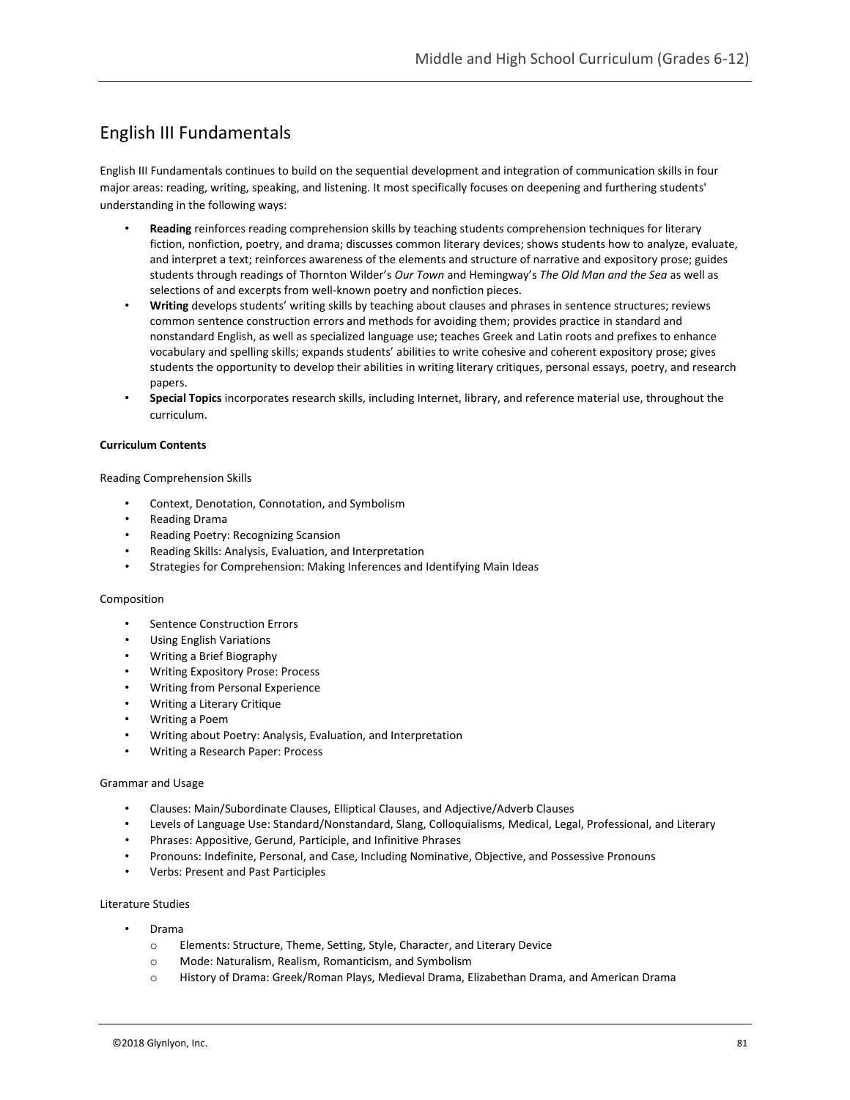# English III Fundamentals

English III Fundamentals continues to build on the sequential development and integration of communication skills in four major areas: reading, writing, speaking, and listening. It most specifically focuses on deepening and furthering students' understanding in the following ways:

- **Reading** reinforces reading comprehension skills by teaching students comprehension techniques for literary fiction, nonfiction, poetry, and drama; discusses common literary devices; shows students how to analyze, evaluate, and interpret a text; reinforces awareness of the elements and structure of narrative and expository prose; guides students through readings of Thornton Wilder's *Our Town* and Hemingway's *The Old Man and the Sea* as well as selections of and excerpts from well-known poetry and nonfiction pieces.
- **Writing** develops students' writing skills by teaching about clauses and phrases in sentence structures; reviews common sentence construction errors and methods for avoiding them; provides practice in standard and nonstandard English, as well as specialized language use; teaches Greek and Latin roots and prefixes to enhance vocabulary and spelling skills; expands students' abilities to write cohesive and coherent expository prose; gives students the opportunity to develop their abilities in writing literary critiques, personal essays, poetry, and research papers.
- **Special Topics** incorporates research skills, including Internet, library, and reference material use, throughout the curriculum.

### **Curriculum Contents**

Reading Comprehension Skills

- Context, Denotation, Connotation, and Symbolism
- Reading Drama
- Reading Poetry: Recognizing Scansion
- Reading Skills: Analysis, Evaluation, and Interpretation
- Strategies for Comprehension: Making Inferences and Identifying Main Ideas

### Composition

- Sentence Construction Errors
- Using English Variations
- Writing a Brief Biography
- Writing Expository Prose: Process
- Writing from Personal Experience
- Writing a Literary Critique
- Writing a Poem
- Writing about Poetry: Analysis, Evaluation, and Interpretation
- Writing a Research Paper: Process

### Grammar and Usage

- Clauses: Main/Subordinate Clauses, Elliptical Clauses, and Adjective/Adverb Clauses
- Levels of Language Use: Standard/Nonstandard, Slang, Colloquialisms, Medical, Legal, Professional, and Literary
- Phrases: Appositive, Gerund, Participle, and Infinitive Phrases
- Pronouns: Indefinite, Personal, and Case, Including Nominative, Objective, and Possessive Pronouns
- Verbs: Present and Past Participles

### Literature Studies

- Drama
	- o Elements: Structure, Theme, Setting, Style, Character, and Literary Device
	- o Mode: Naturalism, Realism, Romanticism, and Symbolism
	- o History of Drama: Greek/Roman Plays, Medieval Drama, Elizabethan Drama, and American Drama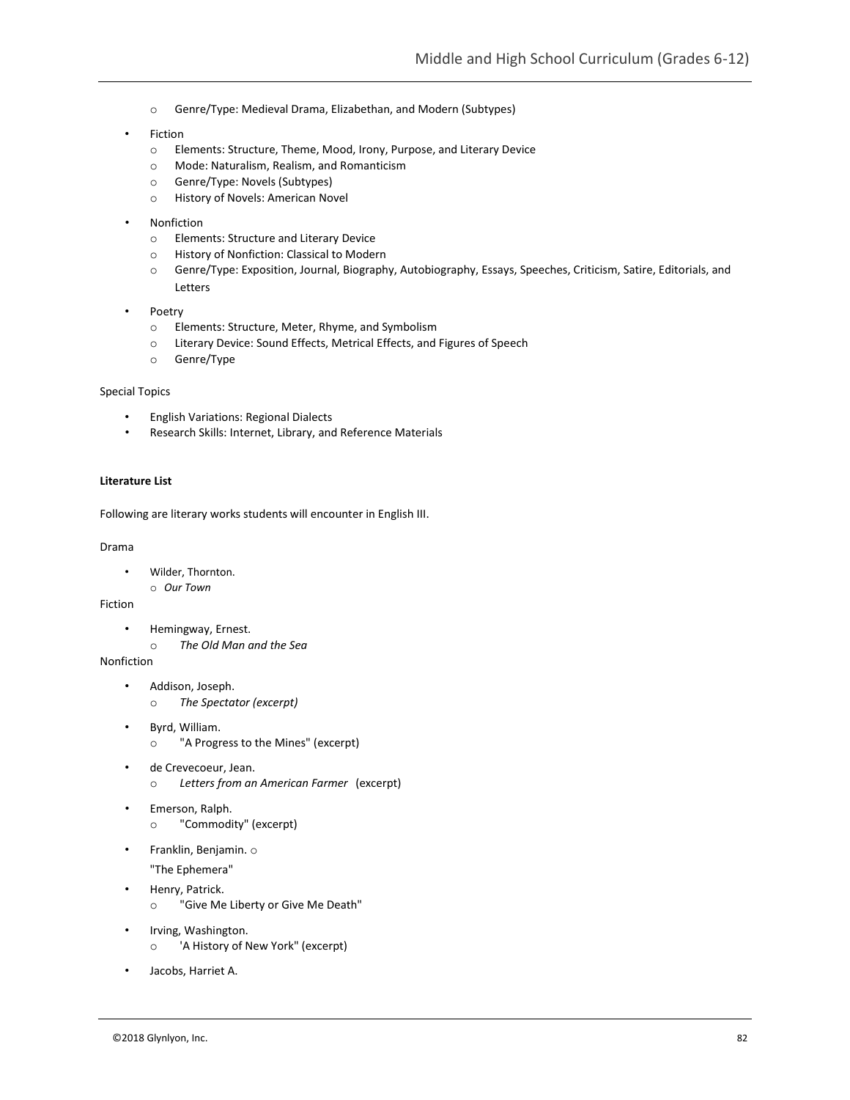- o Genre/Type: Medieval Drama, Elizabethan, and Modern (Subtypes)
- **Fiction** 
	- o Elements: Structure, Theme, Mood, Irony, Purpose, and Literary Device
	- o Mode: Naturalism, Realism, and Romanticism
	- o Genre/Type: Novels (Subtypes)
	- o History of Novels: American Novel
- **Nonfiction** 
	- o Elements: Structure and Literary Device
	- o History of Nonfiction: Classical to Modern
	- o Genre/Type: Exposition, Journal, Biography, Autobiography, Essays, Speeches, Criticism, Satire, Editorials, and Letters
- Poetry
	- o Elements: Structure, Meter, Rhyme, and Symbolism
	- o Literary Device: Sound Effects, Metrical Effects, and Figures of Speech
	- o Genre/Type

### Special Topics

- English Variations: Regional Dialects
- Research Skills: Internet, Library, and Reference Materials

### **Literature List**

Following are literary works students will encounter in English III.

Drama

- Wilder, Thornton.
- o *Our Town*

Fiction

- Hemingway, Ernest.
	- o *The Old Man and the Sea*

Nonfiction

- Addison, Joseph. o *The Spectator (excerpt)*
- Byrd, William.
	- o "A Progress to the Mines" (excerpt)
- de Crevecoeur, Jean. o *Letters from an American Farmer* (excerpt)
- Emerson, Ralph. o "Commodity" (excerpt)
	-
- Franklin, Benjamin. o
	- "The Ephemera"
- Henry, Patrick.
	- o "Give Me Liberty or Give Me Death"
- Irving, Washington.
	- o 'A History of New York" (excerpt)
- Jacobs, Harriet A.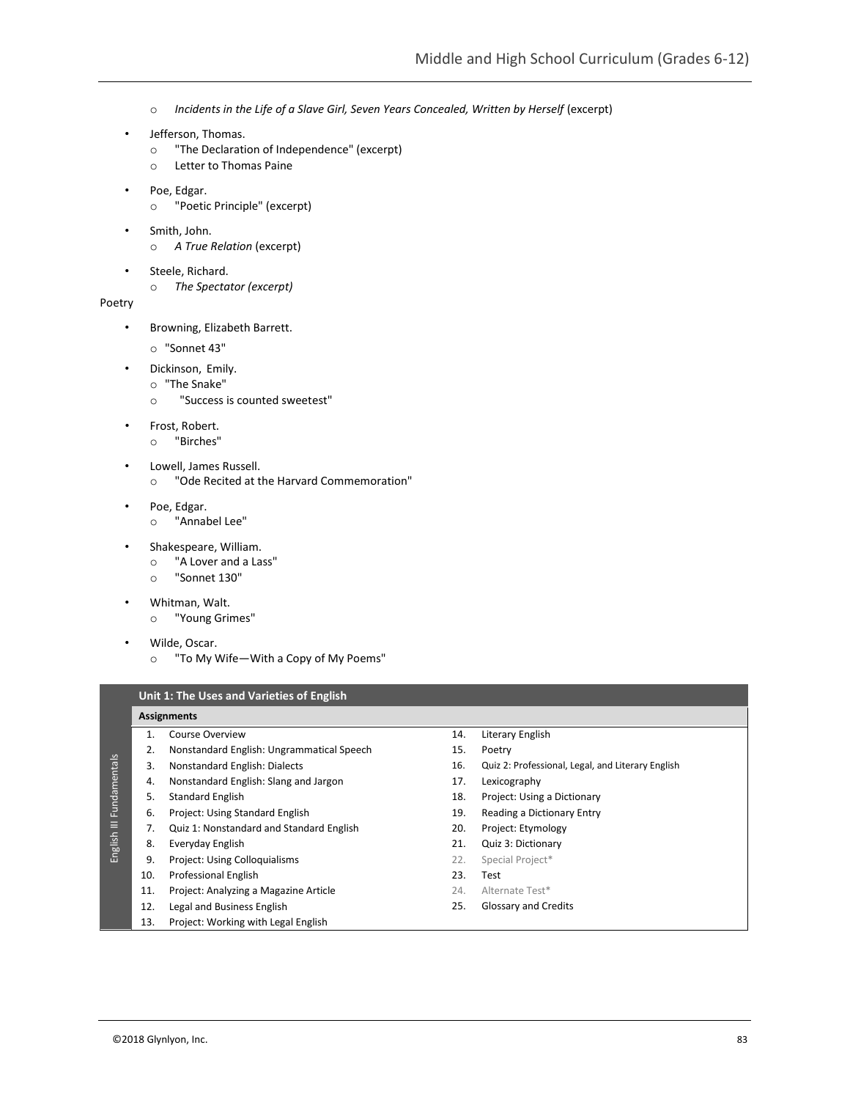- o *Incidents in the Life of a Slave Girl, Seven Years Concealed, Written by Herself (excerpt)*
- Jefferson, Thomas.
	- o "The Declaration of Independence" (excerpt)
	- o Letter to Thomas Paine
- Poe, Edgar.
	- o "Poetic Principle" (excerpt)
- Smith, John. o *A True Relation* (excerpt)
- Steele, Richard.
	- o *The Spectator (excerpt)*
- Poetry
	- Browning, Elizabeth Barrett.
		- o "Sonnet 43"
		- Dickinson, Emily.
			- o "The Snake"
			- o "Success is counted sweetest"
	- Frost, Robert.
		- o "Birches"
	- Lowell, James Russell.
		- o "Ode Recited at the Harvard Commemoration"
	- Poe, Edgar.
		- o "Annabel Lee"
	- Shakespeare, William.
		- o "A Lover and a Lass"
		- o "Sonnet 130"
	- Whitman, Walt.
		- o "Young Grimes"
	- Wilde, Oscar.
		- o "To My Wife—With a Copy of My Poems"

**Unit 1: The Uses and Varieties of English**

### **Assignments**

- 1. Course Overview 2. Nonstandard English: Ungrammatical Speech
- 3. Nonstandard English: Dialects
- 4. Nonstandard English: Slang and Jargon
- 5. Standard English
- 6. Project: Using Standard English
- 7. Quiz 1: Nonstandard and Standard English
- 8. Everyday English
- 9. Project: Using Colloquialisms
	- 10. Professional English
	- 11. Project: Analyzing a Magazine Article
- 12. Legal and Business English
- 13. Project: Working with Legal English
- 14. Literary English 15. Poetry
- 16. Quiz 2: Professional, Legal, and Literary English
- 17. Lexicography
- 18. Project: Using a Dictionary
- 19. Reading a Dictionary Entry
- 20. Project: Etymology
- 21. Quiz 3: Dictionary
- 22. Special Project\*
- 23. Test
- 24. Alternate Test\*
- 25. Glossary and Credits
-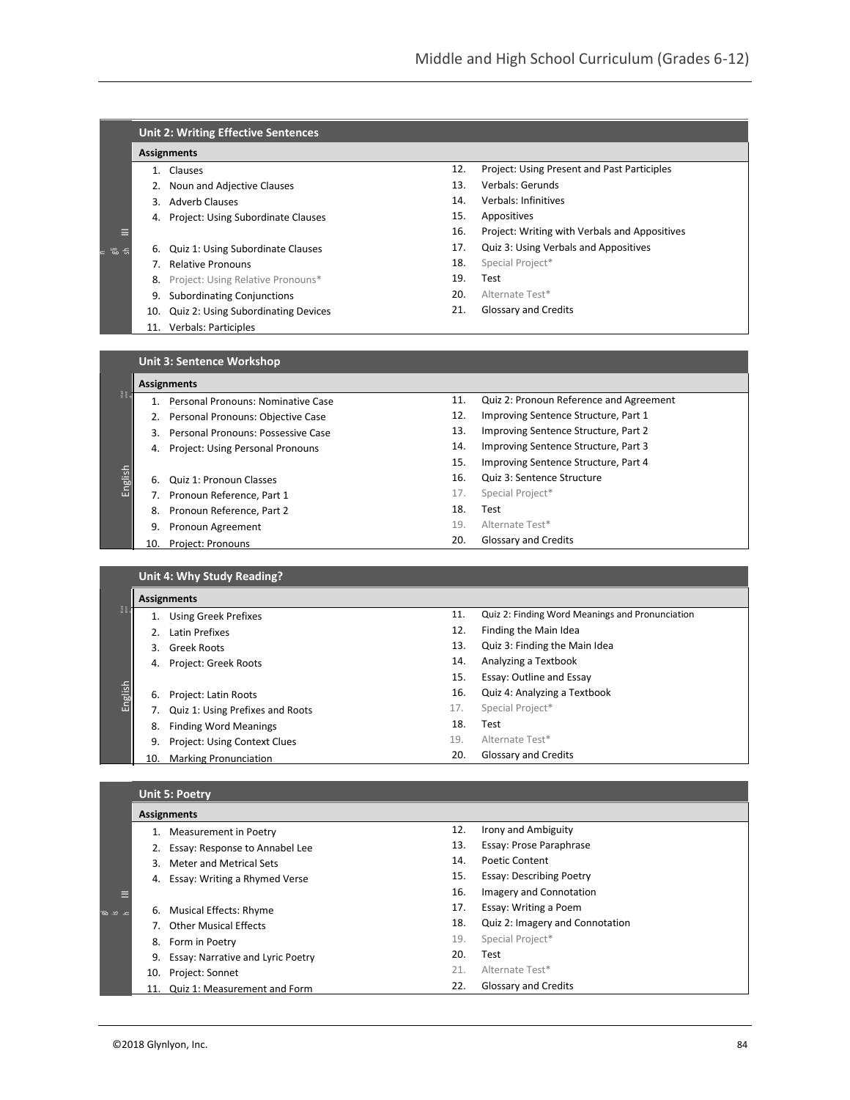|          | <b>Unit 2: Writing Effective Sentences</b> |                                       |     |                                               |  |
|----------|--------------------------------------------|---------------------------------------|-----|-----------------------------------------------|--|
|          |                                            | <b>Assignments</b>                    |     |                                               |  |
|          |                                            | Clauses                               | 12. | Project: Using Present and Past Participles   |  |
|          | 2.                                         | Noun and Adjective Clauses            | 13. | Verbals: Gerunds                              |  |
|          | 3.                                         | <b>Adverb Clauses</b>                 | 14. | Verbals: Infinitives                          |  |
|          |                                            | 4. Project: Using Subordinate Clauses | 15. | Appositives                                   |  |
| Ε        |                                            |                                       | 16. | Project: Writing with Verbals and Appositives |  |
| = ゠ ゠゠゠゠ | 6.                                         | Quiz 1: Using Subordinate Clauses     | 17. | Quiz 3: Using Verbals and Appositives         |  |
|          |                                            | <b>Relative Pronouns</b>              | 18. | Special Project*                              |  |
|          |                                            | 8. Project: Using Relative Pronouns*  | 19. | Test                                          |  |
|          | 9.                                         | <b>Subordinating Conjunctions</b>     | 20. | Alternate Test*                               |  |
|          | 10.                                        | Quiz 2: Using Subordinating Devices   | 21. | Glossary and Credits                          |  |
|          | 11.                                        | <b>Verbals: Participles</b>           |     |                                               |  |

| <b>Unit 3: Sentence Workshop</b> |
|----------------------------------|
|----------------------------------|

|         | <b>Assignments</b> |                                    |     |                                         |  |
|---------|--------------------|------------------------------------|-----|-----------------------------------------|--|
| He      |                    | Personal Pronouns: Nominative Case | 11. | Quiz 2: Pronoun Reference and Agreement |  |
|         | 2.                 | Personal Pronouns: Objective Case  | 12. | Improving Sentence Structure, Part 1    |  |
|         | 3.                 | Personal Pronouns: Possessive Case | 13. | Improving Sentence Structure, Part 2    |  |
|         | 4.                 | Project: Using Personal Pronouns   | 14. | Improving Sentence Structure, Part 3    |  |
|         |                    |                                    | 15. | Improving Sentence Structure, Part 4    |  |
| English |                    | 6. Quiz 1: Pronoun Classes         | 16. | Quiz 3: Sentence Structure              |  |
|         |                    | 7. Pronoun Reference, Part 1       | 17. | Special Project*                        |  |
|         | 8.                 | Pronoun Reference, Part 2          | 18. | Test                                    |  |
|         | 9.                 | Pronoun Agreement                  | 19. | Alternate Test*                         |  |
|         | 10.                | Project: Pronouns                  | 20. | Glossary and Credits                    |  |

**Unit 4: Why Study Reading?**

| <b>Assignments</b> |     |                                  |     |                                                 |
|--------------------|-----|----------------------------------|-----|-------------------------------------------------|
| $\frac{1}{2}$      |     | 1. Using Greek Prefixes          | 11. | Quiz 2: Finding Word Meanings and Pronunciation |
|                    |     | Latin Prefixes                   | 12. | Finding the Main Idea                           |
|                    | 3.  | <b>Greek Roots</b>               | 13. | Quiz 3: Finding the Main Idea                   |
|                    | 4.  | Project: Greek Roots             | 14. | Analyzing a Textbook                            |
|                    |     |                                  | 15. | Essay: Outline and Essay                        |
| English            | 6.  | Project: Latin Roots             | 16. | Quiz 4: Analyzing a Textbook                    |
|                    |     | Quiz 1: Using Prefixes and Roots | 17. | Special Project*                                |
|                    | 8.  | <b>Finding Word Meanings</b>     | 18. | Test                                            |
|                    | 9.  | Project: Using Context Clues     | 19. | Alternate Test*                                 |
|                    | 10. | <b>Marking Pronunciation</b>     | 20. | Glossary and Credits                            |

# **Unit 5: Poetry**

|               | <b>Assignments</b> |                                   |     |                                 |  |  |
|---------------|--------------------|-----------------------------------|-----|---------------------------------|--|--|
|               |                    | Measurement in Poetry             | 12. | Irony and Ambiguity             |  |  |
|               |                    | Essay: Response to Annabel Lee    | 13. | Essay: Prose Paraphrase         |  |  |
|               |                    | Meter and Metrical Sets           | 14. | Poetic Content                  |  |  |
|               |                    | Essay: Writing a Rhymed Verse     | 15. | <b>Essay: Describing Poetry</b> |  |  |
|               |                    |                                   | 16. | Imagery and Connotation         |  |  |
| $\sim$ $\sim$ |                    | 6. Musical Effects: Rhyme         | 17. | Essay: Writing a Poem           |  |  |
|               |                    | <b>Other Musical Effects</b>      | 18. | Quiz 2: Imagery and Connotation |  |  |
|               |                    | 8. Form in Poetry                 | 19. | Special Project*                |  |  |
|               | 9.                 | Essay: Narrative and Lyric Poetry | 20. | Test                            |  |  |
|               | 10.                | Project: Sonnet                   | 21. | Alternate Test*                 |  |  |
|               | 11.                | Quiz 1: Measurement and Form      | 22. | <b>Glossary and Credits</b>     |  |  |

 $50$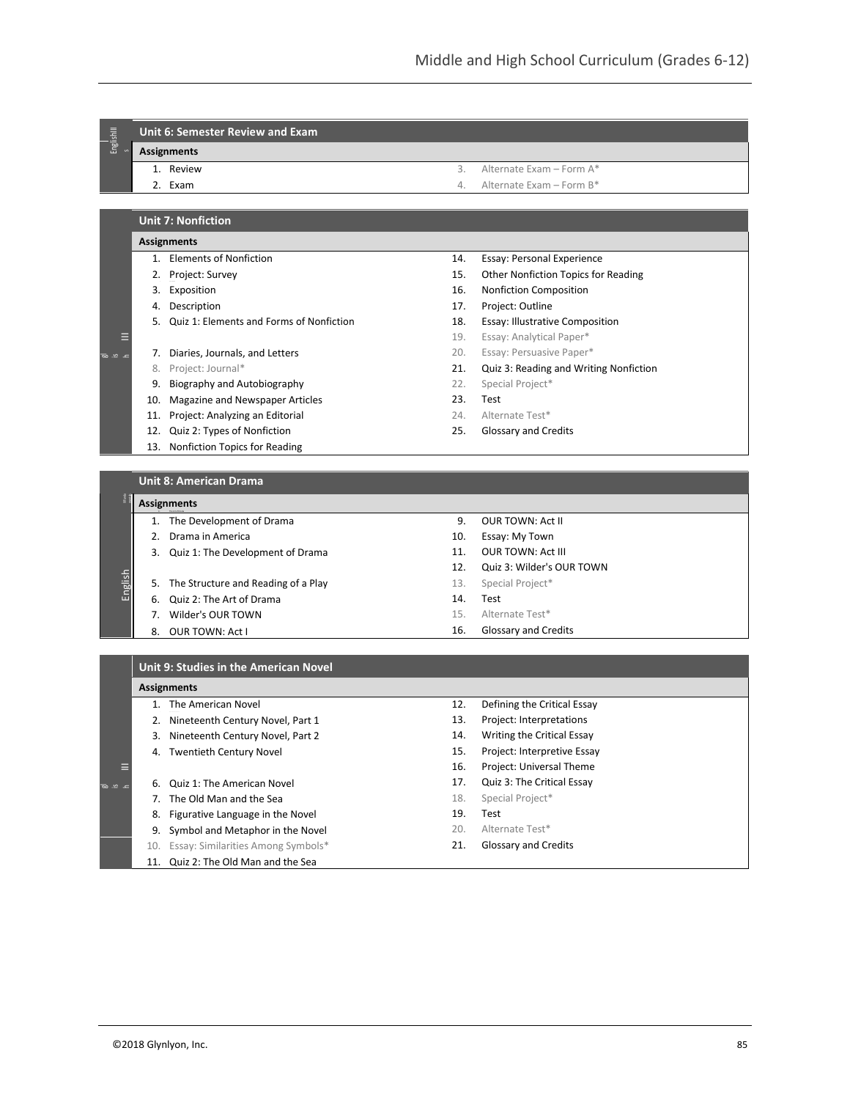## EnglishIII **Unit 6: Semester Review and Exam**

**Assignments**

- 1. Review
- 2. Exam
- 3. Alternate Exam Form A\*
- 4. Alternate Exam Form B\*

### **Unit 7: Nonfiction**

#### **Assignments**

- 1. Elements of Nonfiction
- 2. Project: Survey
- 3. Exposition
- 4. Description

 $\equiv$ 

IIIFunda

**IEI** 

is h

 $50$ 

 $\overline{p}$  $\sim$ h

- 5. Quiz 1: Elements and Forms of Nonfiction
- 7. Diaries, Journals, and Letters
- 8. Project: Journal\*
- 9. Biography and Autobiography
- 10. Magazine and Newspaper Articles
- 11. Project: Analyzing an Editorial
- 12. Quiz 2: Types of Nonfiction
- 13. Nonfiction Topics for Reading
- 14. Essay: Personal Experience
- 15. Other Nonfiction Topics for Reading
- 16. Nonfiction Composition
- 17. Project: Outline
- 18. Essay: Illustrative Composition
- 19. Essay: Analytical Paper\*
- 20. Essay: Persuasive Paper\*
- 21. Quiz 3: Reading and Writing Nonfiction
- 22. Special Project\*
- 23. Test
- 24. Alternate Test\*
- 25. Glossary and Credits

### **Unit 8: American Drama**

#### mentals **Assignments** 4. The Art of Drama

- 1. The Development of Drama
- 2. Drama in America
- 3. Quiz 1: The Development of Drama
- English 5. The Structure and Reading of a Play
	- 6. Quiz 2: The Art of Drama
	- 7. Wilder's OUR TOWN
	- 8. OUR TOWN: Act I
- 9. OUR TOWN: Act II
- 10. Essay: My Town
- 11. OUR TOWN: Act III
- 12. Quiz 3: Wilder's OUR TOWN
- 13. Special Project\*
- 14. Test
- 15. Alternate Test\*
- 16. Glossary and Credits

### **Unit 9: Studies in the American Novel**

### **Assignments**

- 1. The American Novel
- 2. Nineteenth Century Novel, Part 1
- 3. Nineteenth Century Novel, Part 2
- 4. Twentieth Century Novel
- 
- 6. Quiz 1: The American Novel
- 7. The Old Man and the Sea
- 8. Figurative Language in the Novel
- 9. Symbol and Metaphor in the Novel
- 10. Essay: Similarities Among Symbols\* 11. Quiz 2: The Old Man and the Sea
- 12. Defining the Critical Essay
- 13. Project: Interpretations
- 14. Writing the Critical Essay
- 15. Project: Interpretive Essay
- 16. Project: Universal Theme
- 17. Quiz 3: The Critical Essay
- 18. Special Project\*
- 19. Test
- 20. Alternate Test\*
- 21. Glossary and Credits